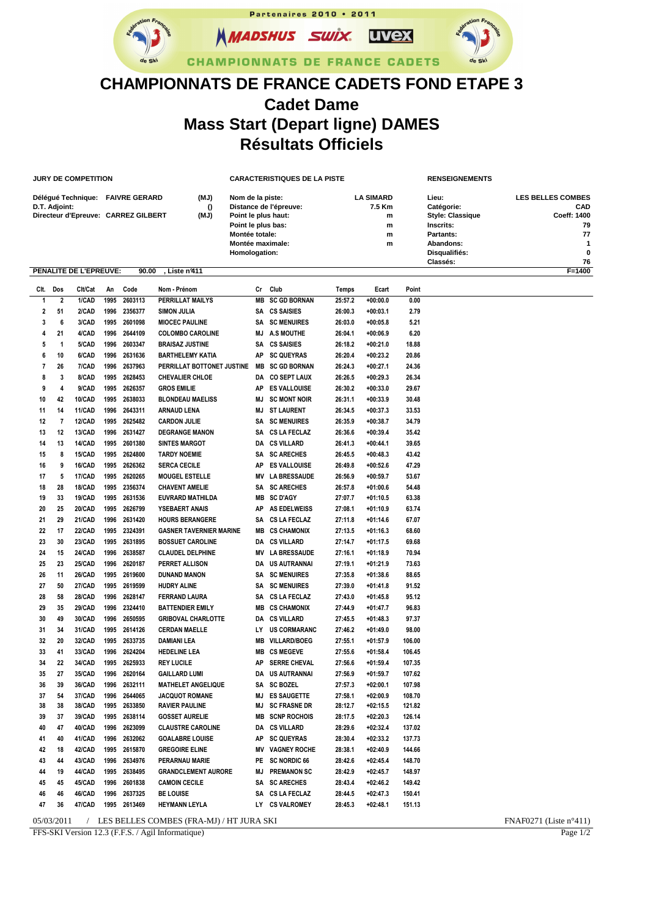Partenaires 2010 • 2011 **NMADSHUS SWIX. UVex CHAMPIONNATS DE FRANCE CADETS** 

## **CHAMPIONNATS DE FRANCE CADETS FOND ETAPE 3 Cadet Dame Mass Start (Depart ligne) DAMES Résultats Officiels**

|                                          |               | <b>JURY DE COMPETITION</b> |      |                                     |                                                   | CARACTERISTIQUES DE LA PISTE              |                        |         |                        |        | <b>RENSEIGNEMENTS</b>   |                          |
|------------------------------------------|---------------|----------------------------|------|-------------------------------------|---------------------------------------------------|-------------------------------------------|------------------------|---------|------------------------|--------|-------------------------|--------------------------|
| (MJ)<br>Délégué Technique: FAIVRE GERARD |               |                            |      |                                     |                                                   | Nom de la piste:                          |                        |         | <b>LA SIMARD</b>       |        | Lieu:                   | <b>LES BELLES COMBES</b> |
|                                          | D.T. Adjoint: |                            |      |                                     | $\Omega$                                          | Distance de l'épreuve:                    |                        |         | 7.5 Km                 |        | Catégorie:              | <b>CAD</b>               |
|                                          |               |                            |      | Directeur d'Epreuve: CARREZ GILBERT | (MJ)                                              | Point le plus haut:                       |                        |         | m                      |        | <b>Style: Classique</b> | Coeff: 1400              |
|                                          |               |                            |      |                                     |                                                   | Point le plus bas:                        |                        |         | m                      |        | Inscrits:               | 79<br>77                 |
|                                          |               |                            |      |                                     |                                                   | Montée totale:<br><b>Montée maximale:</b> |                        |         | m<br>m                 |        | Partants:<br>Abandons:  | 1                        |
|                                          |               |                            |      |                                     |                                                   | Homologation:                             |                        |         |                        |        | Disqualifiés:           | $\mathbf 0$              |
|                                          |               |                            |      |                                     |                                                   |                                           |                        |         |                        |        | Classés:                | 76                       |
|                                          |               | PENALITE DE L'EPREUVE:     |      | 90.00                               | Liste nº411                                       |                                           |                        |         |                        |        |                         | F=1400                   |
| CIt.                                     | Dos           | Clt/Cat                    | An   | Code                                | Nom - Prénom                                      | Cr                                        | Club                   | Temps   | Ecart                  | Point  |                         |                          |
| -1                                       | $\mathbf 2$   | 1/CAD                      | 1995 | 2603113                             | <b>PERRILLAT MAILYS</b>                           | MВ                                        | <b>SC GD BORNAN</b>    | 25:57.2 | $+00:00.0$             | 0.00   |                         |                          |
| 2                                        | 51            | 2/CAD                      | 1996 | 2356377                             | SIMON JULIA                                       |                                           | SA CS SAISIES          | 26:00.3 | $+00:03.1$             | 2.79   |                         |                          |
| 3                                        | 6             | 3/CAD                      | 1995 | 2601098                             | <b>MIOCEC PAULINE</b>                             | SA                                        | <b>SC MENUIRES</b>     | 26:03.0 | $+00:05.8$             | 5.21   |                         |                          |
| 4                                        | 21            | 4/CAD                      | 1996 | 2644109                             | <b>COLOMBO CAROLINE</b>                           | МJ                                        | A.S MOUTHE             | 26:04.1 | $+00:06.9$             | 6.20   |                         |                          |
| 5                                        | 1             | 5/CAD                      | 1996 | 2603347                             | <b>BRAISAZ JUSTINE</b>                            | SA                                        | <b>CS SAISIES</b>      | 26:18.2 | $+00:21.0$             | 18.88  |                         |                          |
| 6                                        | 10            | 6/CAD                      | 1996 | 2631636                             | <b>BARTHELEMY KATIA</b>                           | АΡ                                        | <b>SC QUEYRAS</b>      | 26:20.4 | +00:23.2               | 20.86  |                         |                          |
| $\overline{7}$                           | 26            | 7/CAD                      | 1996 | 2637963                             | PERRILLAT BOTTONET JUSTINE                        | MВ                                        | <b>SC GD BORNAN</b>    | 26:24.3 | +00:27.1               | 24.36  |                         |                          |
| 8                                        | 3             | 8/CAD                      |      | 1995 2628453                        | <b>CHEVALIER CHLOE</b>                            | DA                                        | <b>CO SEPT LAUX</b>    | 26:26.5 | $+00:29.3$             | 26.34  |                         |                          |
| 9                                        | 4             | 9/CAD                      | 1995 | 2626357                             | <b>GROS EMILIE</b>                                | AΡ                                        | <b>ES VALLOUISE</b>    | 26:30.2 | +00:33.0               | 29.67  |                         |                          |
| 10                                       | 42            | <b>10/CAD</b>              | 1995 | 2638033                             | <b>BLONDEAU MAELISS</b>                           | МJ                                        | <b>SC MONT NOIR</b>    | 26:31.1 | +00:33.9               | 30.48  |                         |                          |
| 11                                       | 14            | 11/CAD                     |      | 1996 2643311                        | <b>ARNAUD LENA</b>                                | МJ                                        | <b>ST LAURENT</b>      | 26:34.5 | $+00:37.3$             | 33.53  |                         |                          |
| 12                                       | 7             | 12/CAD                     | 1995 | 2625482                             | <b>CARDON JULIE</b>                               | SA                                        | <b>SC MENUIRES</b>     | 26:35.9 | $+00:38.7$             | 34.79  |                         |                          |
| 13                                       | 12            | <b>13/CAD</b>              | 1996 | 2631427                             | <b>DEGRANGE MANON</b>                             | SA                                        | <b>CS LA FECLAZ</b>    | 26:36.6 | +00:39.4               | 35.42  |                         |                          |
| 14                                       | 13            | 14/CAD                     | 1995 | 2601380                             | <b>SINTES MARGOT</b>                              | DA                                        | <b>CS VILLARD</b>      | 26:41.3 | $+00:44.1$             | 39.65  |                         |                          |
| 15                                       | 8             | <b>15/CAD</b>              | 1995 | 2624800                             | <b>TARDY NOEMIE</b>                               | SA                                        | <b>SC ARECHES</b>      | 26:45.5 | $+00:48.3$             | 43.42  |                         |                          |
| 16                                       | 9             | 16/CAD                     | 1995 | 2626362                             | <b>SERCA CECILE</b>                               | AΡ                                        | <b>ES VALLOUISE</b>    | 26:49.8 | $+00:52.6$             | 47.29  |                         |                          |
| 17                                       | 5             | <b>17/CAD</b>              | 1995 | 2620265                             | <b>MOUGEL ESTELLE</b>                             | ΜV                                        | <b>LA BRESSAUDE</b>    | 26:56.9 | $+00:59.7$             | 53.67  |                         |                          |
| 18                                       | 28            | 18/CAD                     | 1995 | 2356374                             | <b>CHAVENT AMELIE</b>                             | SA                                        | <b>SC ARECHES</b>      | 26:57.8 | $+01:00.6$             | 54.48  |                         |                          |
| 19                                       | 33            | <b>19/CAD</b>              | 1995 | 2631536                             | EUVRARD MATHILDA                                  | MВ                                        | <b>SC D'AGY</b>        | 27:07.7 | $+01:10.5$             | 63.38  |                         |                          |
| 20                                       | 25            | 20/CAD                     | 1995 | 2626799                             | <b>YSEBAERT ANAIS</b>                             | АΡ                                        | <b>AS EDELWEISS</b>    | 27:08.1 | +01:10.9               | 63.74  |                         |                          |
| 21                                       | 29            | 21/CAD                     | 1996 | 2631420                             | <b>HOURS BERANGERE</b>                            | SA                                        | <b>CS LA FECLAZ</b>    | 27:11.8 | $+01:14.6$             | 67.07  |                         |                          |
| 22                                       | 17            | <b>22/CAD</b>              |      | 1995 2324391                        | <b>GASNER TAVERNIER MARINE</b>                    | MВ                                        | <b>CS CHAMONIX</b>     | 27:13.5 | $+01:16.3$             | 68.60  |                         |                          |
| 23                                       | 30            | 23/CAD                     | 1995 | 2631895                             | <b>BOSSUET CAROLINE</b>                           | DA                                        | <b>CS VILLARD</b>      | 27:14.7 | $+01:17.5$             | 69.68  |                         |                          |
| 24                                       | 15            | <b>24/CAD</b>              | 1996 | 2638587                             | <b>CLAUDEL DELPHINE</b>                           | ΜV                                        | <b>LA BRESSAUDE</b>    | 27:16.1 | +01:18.9               | 70.94  |                         |                          |
| 25                                       | 23            | <b>25/CAD</b>              | 1996 | 2620187                             | PERRET ALLISON                                    | DA                                        | <b>US AUTRANNAI</b>    | 27:19.1 | $+01:21.9$             | 73.63  |                         |                          |
| 26                                       | 11            | <b>26/CAD</b>              | 1995 | 2619600                             | <b>DUNAND MANON</b>                               | SA                                        | <b>SC MENUIRES</b>     | 27:35.8 | $+01:38.6$             | 88.65  |                         |                          |
| 27                                       | 50            | 27/CAD                     | 1995 | 2619599                             | <b>HUDRY ALINE</b>                                | SA                                        | <b>SC MENUIRES</b>     | 27:39.0 | $+01:41.8$             | 91.52  |                         |                          |
| 28                                       | 58            | <b>28/CAD</b>              | 1996 | 2628147                             | FERRAND LAURA                                     | SA                                        | <b>CS LA FECLAZ</b>    | 27:43.0 | $+01:45.8$             | 95.12  |                         |                          |
| 29                                       | 35            | 29/CAD                     | 1996 | 2324410                             | <b>BATTENDIER EMILY</b>                           | MВ                                        | <b>CS CHAMONIX</b>     | 27:44.9 | $+01:47.7$             | 96.83  |                         |                          |
| 30                                       | 49            | 30/CAD                     | 1996 | 2650595                             | <b>GRIBOVAL CHARLOTTE</b>                         | DA                                        | <b>CS VILLARD</b>      | 27:45.5 | $+01:48.3$             | 97.37  |                         |                          |
| 31                                       | 34            | 31/CAD                     |      | 1995 2614126                        | <b>CERDAN MAELLE</b>                              | LY                                        | <b>US CORMARANC</b>    | 27:46.2 | $+01:49.0$             | 98.00  |                         |                          |
| 32                                       | 20            | 32/CAD                     | 1995 | 2633735                             | <b>DAMIANI LEA</b>                                | MВ                                        | <b>VILLARD/BOEG</b>    | 27:55.1 | +01:57.9               | 106.00 |                         |                          |
| 33                                       | 41            | 33/CAD                     |      | 1996 2624204                        | <b>HEDELINE LEA</b>                               |                                           | <b>MB CS MEGEVE</b>    | 27:55.6 | $+01:58.4$             | 106.45 |                         |                          |
|                                          |               |                            |      |                                     |                                                   |                                           |                        |         |                        |        |                         |                          |
| 34                                       | 22            | 34/CAD                     |      | 1995 2625933                        | <b>REY LUCILE</b>                                 | AΡ                                        | <b>SERRE CHEVAL</b>    | 27:56.6 | +01:59.4<br>$+01:59.7$ | 107.35 |                         |                          |
| 35                                       | 27            | 35/CAD                     |      | 1996 2620164                        | <b>GAILLARD LUMI</b>                              |                                           | DA US AUTRANNAI        | 27:56.9 |                        | 107.62 |                         |                          |
| 36                                       | 39            | 36/CAD                     |      | 1996 2632111                        | <b>MATHELET ANGELIQUE</b>                         |                                           | SA SC BOZEL            | 27:57.3 | $+02:00.1$             | 107.98 |                         |                          |
| 37                                       | 54            | 37/CAD                     |      | 1996 2644065<br>1995 2633850        | <b>JACQUOT ROMANE</b>                             |                                           | MJ ES SAUGETTE         | 27:58.1 | $+02:00.9$             | 108.70 |                         |                          |
| 38                                       | 38            | 38/CAD                     |      |                                     | <b>RAVIER PAULINE</b>                             |                                           | <b>MJ SC FRASNE DR</b> | 28:12.7 | $+02:15.5$             | 121.82 |                         |                          |
| 39                                       | 37            | 39/CAD                     |      | 1995 2638114                        | <b>GOSSET AURELIE</b><br><b>CLAUSTRE CAROLINE</b> |                                           | <b>MB SCNP ROCHOIS</b> | 28:17.5 | $+02:20.3$             | 126.14 |                         |                          |
| 40                                       | 47            | 40/CAD                     |      | 1996 2623099                        |                                                   |                                           | DA CS VILLARD          | 28:29.6 | +02:32.4               | 137.02 |                         |                          |
| 41                                       | 40            | 41/CAD                     | 1996 | 2632062                             | <b>GOALABRE LOUISE</b>                            |                                           | AP SC QUEYRAS          | 28:30.4 | +02:33.2               | 137.73 |                         |                          |
| 42                                       | 18            | 42/CAD                     |      | 1995 2615870                        | <b>GREGOIRE ELINE</b>                             |                                           | <b>MV VAGNEY ROCHE</b> | 28:38.1 | $+02:40.9$             | 144.66 |                         |                          |
| 43                                       | 44            | 43/CAD                     |      | 1996 2634976                        | PERARNAU MARIE                                    |                                           | PE SC NORDIC 66        | 28:42.6 | +02:45.4               | 148.70 |                         |                          |
| 44                                       | 19            | 44/CAD                     |      | 1995 2638495                        | <b>GRANDCLEMENT AURORE</b>                        |                                           | <b>MJ PREMANON SC</b>  | 28:42.9 | +02:45.7               | 148.97 |                         |                          |
| 45                                       | 45            | 45/CAD                     |      | 1996 2601838                        | <b>CAMOIN CECILE</b>                              |                                           | SA SC ARECHES          | 28:43.4 | $+02:46.2$             | 149.42 |                         |                          |
| 46                                       | 46            | 46/CAD                     |      | 1996 2637325                        | <b>BE LOUISE</b>                                  |                                           | SA CS LA FECLAZ        | 28:44.5 | +02:47.3               | 150.41 |                         |                          |
| 47                                       | 36            | 47/CAD                     |      | 1995 2613469                        | <b>HEYMANN LEYLA</b>                              |                                           | LY CS VALROMEY         | 28:45.3 | $+02:48.1$             | 151.13 |                         |                          |

05/03/2011 / LES BELLES COMBES (FRA-MJ) / HT JURA SKI FNAF0271 (Liste n°411)<br>FFS-SKI Version 12.3 (F.F.S. / Agil Informatique) Page 1/2

FFS-SKI Version 12.3 (F.F.S. / Agil Informatique)